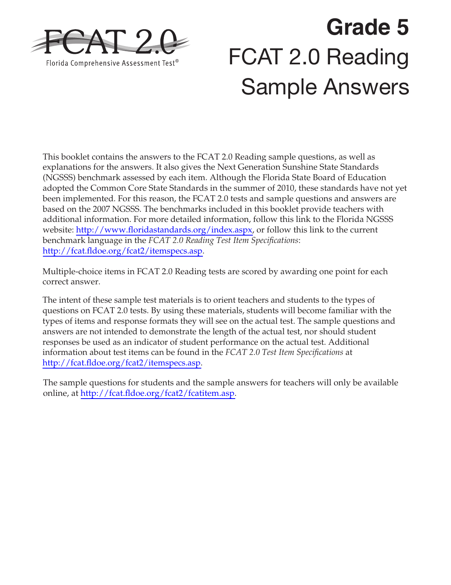

# **Grade 5**  FCAT 2.0 Reading Sample Answers

This booklet contains the answers to the FCAT 2.0 Reading sample questions, as well as explanations for the answers. It also gives the Next Generation Sunshine State Standards (NGSSS) benchmark assessed by each item. Although the Florida State Board of Education adopted the Common Core State Standards in the summer of 2010, these standards have not yet been implemented. For this reason, the FCAT 2.0 tests and sample questions and answers are based on the 2007 NGSSS. The benchmarks included in this booklet provide teachers with additional information. For more detailed information, follow this link to the Florida NGSSS website: [http://www.floridastandards.org/index.aspx,](http://www.floridastandards.org/index.aspx) or follow this link to the current benchmark language in the *FCAT 2.0 Reading Test Item Specifications*: [http://fcat.fldoe.org/fcat2/itemspecs.asp.](http://fcat.fldoe.org/fcat2/itemspecs.asp)

Multiple-choice items in FCAT 2.0 Reading tests are scored by awarding one point for each correct answer.

The intent of these sample test materials is to orient teachers and students to the types of questions on FCAT 2.0 tests. By using these materials, students will become familiar with the types of items and response formats they will see on the actual test. The sample questions and answers are not intended to demonstrate the length of the actual test, nor should student responses be used as an indicator of student performance on the actual test. Additional information about test items can be found in the *FCAT 2.0 Test Item Specifications* at [http://fcat.fldoe.org/fcat2/itemspecs.asp.](http://fcat.fldoe.org/fcat2/itemspecs.asp)

The sample questions for students and the sample answers for teachers will only be available online, at [http://fcat.fldoe.org/fcat2/fcatitem.asp.](http://fcat.fldoe.org/fcat2/fcatitem.asp)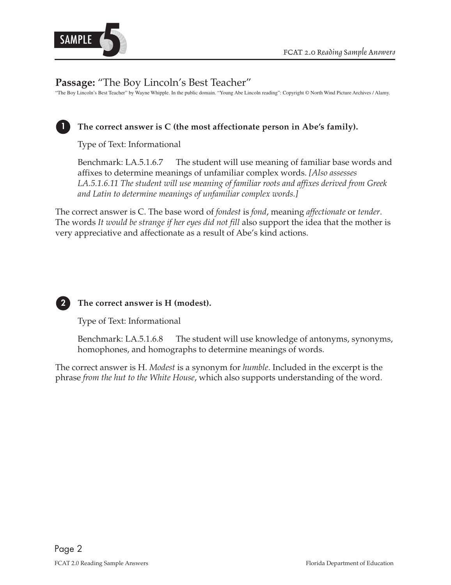

# **Passage:** "The Boy Lincoln's Best Teacher"

"The Boy Lincoln's Best Teacher" by Wayne Whipple. In the public domain. "Young Abe Lincoln reading": Copyright © North Wind Picture Archives / Alamy.



## The correct answer is C (the most affectionate person in Abe's family).

Type of Text: Informational

Benchmark: LA.5.1.6.7 The student will use meaning of familiar base words and affixes to determine meanings of unfamiliar complex words. *[Also assesses LA.5.1.6.11 The student will use meaning of familiar roots and affixes derived from Greek and Latin to determine meanings of unfamiliar complex words.]* 

The correct answer is C. The base word of *fondest* is *fond*, meaning *affectionate* or *tender*. The words *It would be strange if her eyes did not fill* also support the idea that the mother is very appreciative and affectionate as a result of Abe's kind actions.



#### **2 The correct answer is H (modest).**

Type of Text: Informational

Benchmark: LA.5.1.6.8 The student will use knowledge of antonyms, synonyms, homophones, and homographs to determine meanings of words.

 phrase *from the hut to the White House*, which also supports understanding of the word. The correct answer is H. *Modest* is a synonym for *humble*. Included in the excerpt is the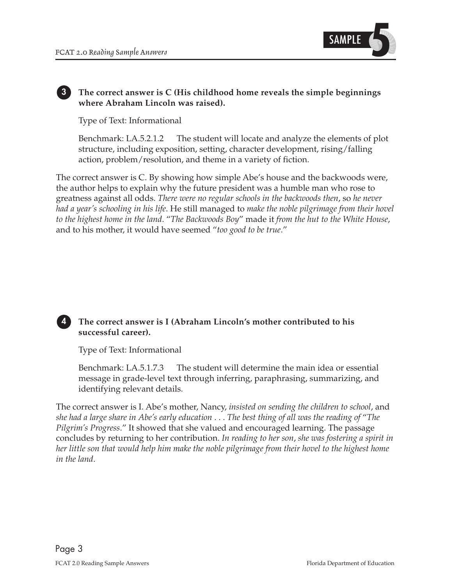

#### **3 The correct answer is C (His childhood home reveals the simple beginnings where Abraham Lincoln was raised).**

Type of Text: Informational

Benchmark: LA.5.2.1.2 The student will locate and analyze the elements of plot structure, including exposition, setting, character development, rising/falling action, problem/resolution, and theme in a variety of fiction.

 *to the highest home in the land*. "*The Backwoods Boy*" made it *from the hut to the White House*, The correct answer is C. By showing how simple Abe's house and the backwoods were, the author helps to explain why the future president was a humble man who rose to greatness against all odds. *There were no regular schools in the backwoods then*, so *he never had a year's schooling in his life*. He still managed to *make the noble pilgrimage from their hovel*  and to his mother, it would have seemed "*too good to be true*."



#### 4 The correct answer is I (Abraham Lincoln's mother contributed to his **successful career).**

Type of Text: Informational

Benchmark: LA.5.1.7.3 The student will determine the main idea or essential message in grade-level text through inferring, paraphrasing, summarizing, and identifying relevant details.

 The correct answer is I. Abe's mother, Nancy, *insisted on sending the children to school*, and  *she had a large share in Abe's early education* . . . *The best thing of all was the reading of* "*The*  concludes by returning to her contribution. *In reading to her son*, *she was fostering a spirit in Pilgrim's Progress*." It showed that she valued and encouraged learning. The passage *her little son that would help him make the noble pilgrimage from their hovel to the highest home in the land*.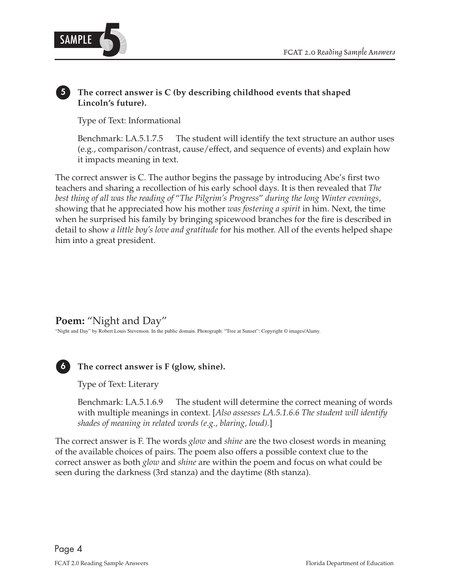

### **5 The correct answer is C (by describing childhood events that shaped Lincoln's future).**

Type of Text: Informational

Benchmark: LA.5.1.7.5 The student will identify the text structure an author uses (e.g., comparison/contrast, cause/effect, and sequence of events) and explain how it impacts meaning in text.

 showing that he appreciated how his mother *was fostering a spirit* in him. Next, the time The correct answer is C. The author begins the passage by introducing Abe's first two teachers and sharing a recollection of his early school days. It is then revealed that *The best thing of all was the reading of* "*The Pilgrim's Progress*" *during the long Winter evenings*, when he surprised his family by bringing spicewood branches for the fire is described in detail to show *a little boy's love and gratitude* for his mother. All of the events helped shape him into a great president.

**Poem:** "Night and Day"

"Night and Day" by Robert Louis Stevenson. In the public domain. Photograph: "Tree at Sunset": Copyright © images/Alamy.



 **6 The correct answer is F (glow, shine).** 

Type of Text: Literary

Benchmark: LA.5.1.6.9 The student will determine the correct meaning of words with multiple meanings in context. [*Also assesses LA.5.1.6.6 The student will identify shades of meaning in related words (e.g., blaring, loud).*]

The correct answer is F. The words *glow* and *shine* are the two closest words in meaning of the available choices of pairs. The poem also offers a possible context clue to the correct answer as both *glow* and *shine* are within the poem and focus on what could be seen during the darkness (3rd stanza) and the daytime (8th stanza).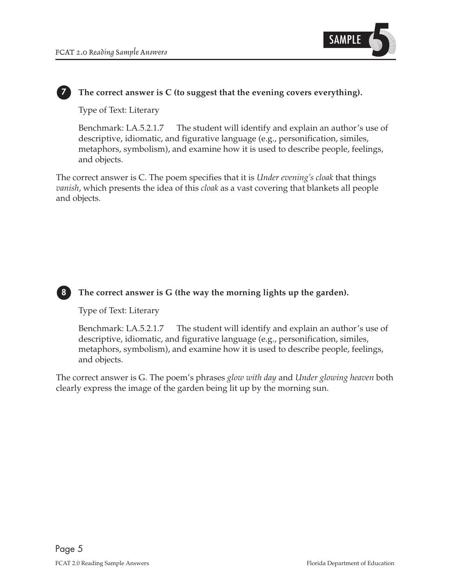

#### **7 The correct answer is C (to suggest that the evening covers everything).**

Type of Text: Literary

Benchmark: LA.5.2.1.7 The student will identify and explain an author's use of descriptive, idiomatic, and figurative language (e.g., personification, similes, metaphors, symbolism), and examine how it is used to describe people, feelings, and objects.

The correct answer is C. The poem specifies that it is *Under evening's cloak* that things *vanish*, which presents the idea of this *cloak* as a vast covering that blankets all people and objects.



#### **8 The correct answer is G (the way the morning lights up the garden).**

Type of Text: Literary

Benchmark: LA.5.2.1.7 The student will identify and explain an author's use of descriptive, idiomatic, and figurative language (e.g., personification, similes, metaphors, symbolism), and examine how it is used to describe people, feelings, and objects.

The correct answer is G. The poem's phrases *glow with day* and *Under glowing heaven* both clearly express the image of the garden being lit up by the morning sun.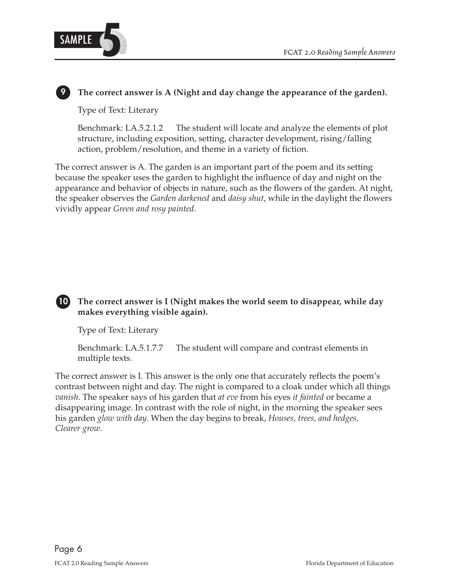

# The correct answer is A (Night and day change the appearance of the garden).

Type of Text: Literary

Benchmark: LA.5.2.1.2 The student will locate and analyze the elements of plot structure, including exposition, setting, character development, rising/falling action, problem/resolution, and theme in a variety of fiction.

The correct answer is A. The garden is an important part of the poem and its setting because the speaker uses the garden to highlight the influence of day and night on the appearance and behavior of objects in nature, such as the flowers of the garden. At night, the speaker observes the *Garden darkened* and *daisy shut*, while in the daylight the flowers vividly appear *Green and rosy painted*.



# 10 The correct answer is I (Night makes the world seem to disappear, while day  **makes everything visible again).**

Type of Text: Literary

Benchmark: LA.5.1.7.7 The student will compare and contrast elements in multiple texts.

The correct answer is I. This answer is the only one that accurately reflects the poem's contrast between night and day. The night is compared to a cloak under which all things *vanish*. The speaker says of his garden that *at eve* from his eyes *it fainted* or became a disappearing image. In contrast with the role of night, in the morning the speaker sees his garden *glow with day*. When the day begins to break, *Houses, trees, and hedges, Clearer grow*.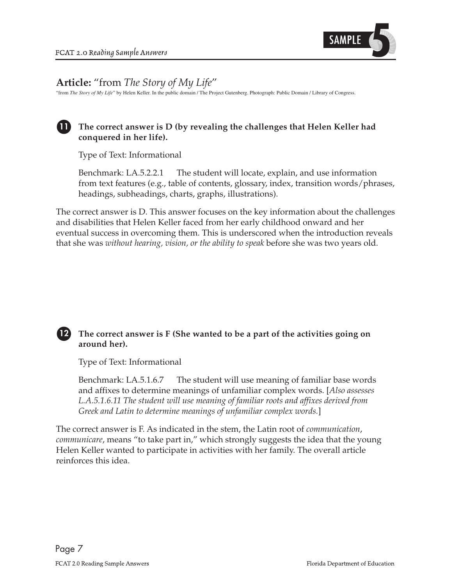

# **Article:** "from *The Story of My Life*"

"from *The Story of My Life*" by Helen Keller. In the public domain / The Project Gutenberg. Photograph: Public Domain / Library of Congress.

## **11 The correct answer is D (by revealing the challenges that Helen Keller had conquered in her life).**

Type of Text: Informational

Benchmark: LA.5.2.2.1 The student will locate, explain, and use information from text features (e.g., table of contents, glossary, index, transition words/phrases, headings, subheadings, charts, graphs, illustrations).

The correct answer is D. This answer focuses on the key information about the challenges and disabilities that Helen Keller faced from her early childhood onward and her eventual success in overcoming them. This is underscored when the introduction reveals that she was *without hearing, vision, or the ability to speak* before she was two years old.

#### **12** The correct answer is  $F$  (She wanted to be a part of the activities going on **around her).**

Type of Text: Informational

Benchmark: LA.5.1.6.7 The student will use meaning of familiar base words and affixes to determine meanings of unfamiliar complex words. [*Also assesses L.A.5.1.6.11 The student will use meaning of familiar roots and affixes derived from Greek and Latin to determine meanings of unfamiliar complex words.*]

The correct answer is F. As indicated in the stem, the Latin root of *communication*, *communicare*, means "to take part in," which strongly suggests the idea that the young Helen Keller wanted to participate in activities with her family. The overall article reinforces this idea.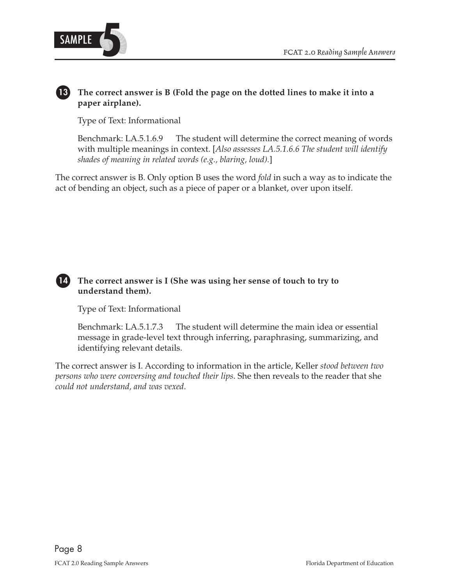

# 13 The correct answer is B (Fold the page on the dotted lines to make it into a **paper airplane).**

Type of Text: Informational

Benchmark: LA.5.1.6.9 The student will determine the correct meaning of words with multiple meanings in context. [*Also assesses LA.5.1.6.6 The student will identify shades of meaning in related words (e.g., blaring, loud).*]

The correct answer is B. Only option B uses the word *fold* in such a way as to indicate the act of bending an object, such as a piece of paper or a blanket, over upon itself.

# 14 The correct answer is I (She was using her sense of touch to try to **understand them).**

Type of Text: Informational

Benchmark: LA.5.1.7.3 The student will determine the main idea or essential message in grade-level text through inferring, paraphrasing, summarizing, and identifying relevant details.

The correct answer is I. According to information in the article, Keller *stood between two persons who were conversing and touched their lips*. She then reveals to the reader that she *could not understand, and was vexed*.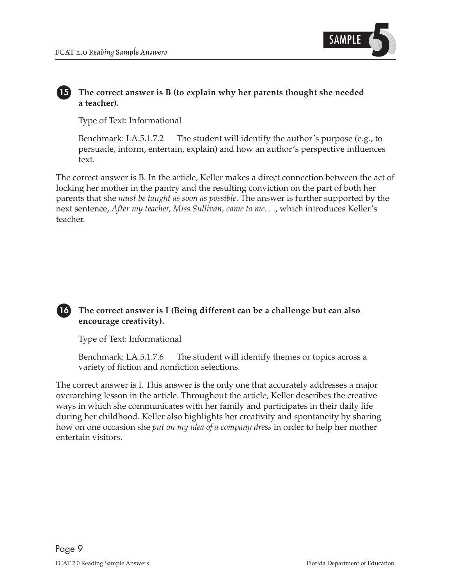

#### The correct answer is B (to explain why her parents thought she needed **a teacher).**

Type of Text: Informational

Benchmark: LA.5.1.7.2 The student will identify the author's purpose (e.g., to persuade, inform, entertain, explain) and how an author's perspective influences text.

 parents that she *must be taught as soon as possible*. The answer is further supported by the  next sentence, *After my teacher, Miss Sullivan, came to me. . .*, which introduces Keller's The correct answer is B. In the article, Keller makes a direct connection between the act of locking her mother in the pantry and the resulting conviction on the part of both her teacher.



#### **16 The correct answer is I (Being different can be a challenge but can also encourage creativity).**

Type of Text: Informational

Benchmark: LA.5.1.7.6 The student will identify themes or topics across a variety of fiction and nonfiction selections.

The correct answer is I. This answer is the only one that accurately addresses a major overarching lesson in the article. Throughout the article, Keller describes the creative ways in which she communicates with her family and participates in their daily life during her childhood. Keller also highlights her creativity and spontaneity by sharing how on one occasion she *put on my idea of a company dress* in order to help her mother entertain visitors.